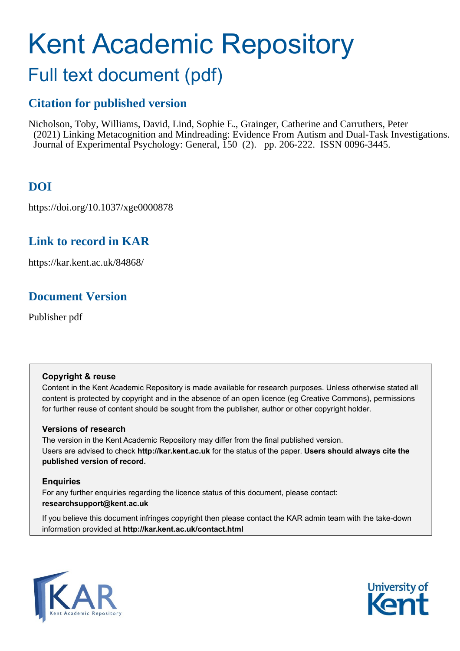# Kent Academic Repository

## Full text document (pdf)

## **Citation for published version**

Nicholson, Toby, Williams, David, Lind, Sophie E., Grainger, Catherine and Carruthers, Peter (2021) Linking Metacognition and Mindreading: Evidence From Autism and Dual-Task Investigations. Journal of Experimental Psychology: General, 150 (2). pp. 206-222. ISSN 0096-3445.

## **DOI**

https://doi.org/10.1037/xge0000878

## **Link to record in KAR**

https://kar.kent.ac.uk/84868/

## **Document Version**

Publisher pdf

## **Copyright & reuse**

Content in the Kent Academic Repository is made available for research purposes. Unless otherwise stated all content is protected by copyright and in the absence of an open licence (eg Creative Commons), permissions for further reuse of content should be sought from the publisher, author or other copyright holder.

## **Versions of research**

The version in the Kent Academic Repository may differ from the final published version. Users are advised to check **http://kar.kent.ac.uk** for the status of the paper. **Users should always cite the published version of record.**

## **Enquiries**

For any further enquiries regarding the licence status of this document, please contact: **researchsupport@kent.ac.uk**

If you believe this document infringes copyright then please contact the KAR admin team with the take-down information provided at **http://kar.kent.ac.uk/contact.html**



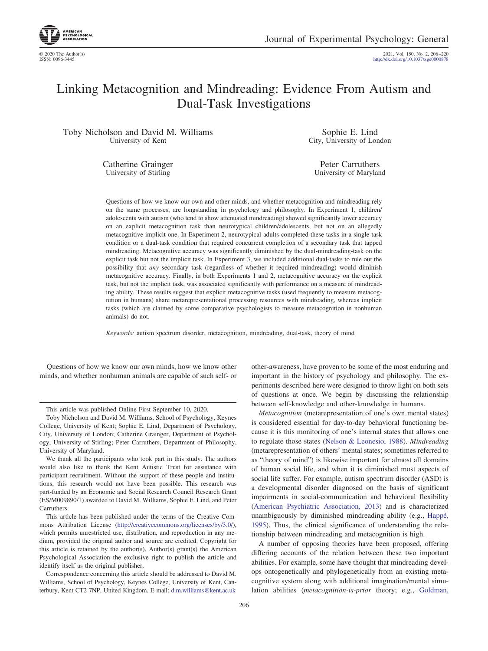

© 2020 The Author(s) 2021, Vol. 150, No. 2, 206 –220 http://dx.doi.org[/10.1037/xge0000878](http://dx.doi.org/10.1037/xge0000878)

## Linking Metacognition and Mindreading: Evidence From Autism and Dual-Task Investigations

Toby Nicholson and David M. Williams University of Kent

> Catherine Grainger University of Stirling

Sophie E. Lind City, University of London

Peter Carruthers University of Maryland

Questions of how we know our own and other minds, and whether metacognition and mindreading rely on the same processes, are longstanding in psychology and philosophy. In Experiment 1, children/ adolescents with autism (who tend to show attenuated mindreading) showed significantly lower accuracy on an explicit metacognition task than neurotypical children/adolescents, but not on an allegedly metacognitive implicit one. In Experiment 2, neurotypical adults completed these tasks in a single-task condition or a dual-task condition that required concurrent completion of a secondary task that tapped mindreading. Metacognitive accuracy was significantly diminished by the dual-mindreading-task on the explicit task but not the implicit task. In Experiment 3, we included additional dual-tasks to rule out the possibility that *any* secondary task (regardless of whether it required mindreading) would diminish metacognitive accuracy. Finally, in both Experiments 1 and 2, metacognitive accuracy on the explicit task, but not the implicit task, was associated significantly with performance on a measure of mindreading ability. These results suggest that explicit metacognitive tasks (used frequently to measure metacognition in humans) share metarepresentational processing resources with mindreading, whereas implicit tasks (which are claimed by some comparative psychologists to measure metacognition in nonhuman animals) do not.

*Keywords:* autism spectrum disorder, metacognition, mindreading, dual-task, theory of mind

Questions of how we know our own minds, how we know other minds, and whether nonhuman animals are capable of such self- or

This article was published Online First September 10, 2020.

Toby Nicholson and David M. Williams, School of Psychology, Keynes College, University of Kent; Sophie E. Lind, Department of Psychology, City, University of London; Catherine Grainger, Department of Psychology, University of Stirling; Peter Carruthers, Department of Philosophy, University of Maryland.

We thank all the participants who took part in this study. The authors would also like to thank the Kent Autistic Trust for assistance with participant recruitment. Without the support of these people and institutions, this research would not have been possible. This research was part-funded by an Economic and Social Research Council Research Grant (ES/M009890/1) awarded to David M. Williams, Sophie E. Lind, and Peter Carruthers.

This article has been published under the terms of the Creative Commons Attribution License [\(http://creativecommons.org/licenses/by/3.0/\)](http://creativecommons.org/licenses/by/3.0/), which permits unrestricted use, distribution, and reproduction in any medium, provided the original author and source are credited. Copyright for this article is retained by the author(s). Author(s) grant(s) the American Psychological Association the exclusive right to publish the article and identify itself as the original publisher.

Correspondence concerning this article should be addressed to David M. Williams, School of Psychology, Keynes College, University of Kent, Canterbury, Kent CT2 7NP, United Kingdom. E-mail: [d.m.williams@kent.ac.uk](mailto:d.m.williams@kent.ac.uk)

other-awareness, have proven to be some of the most enduring and important in the history of psychology and philosophy. The experiments described here were designed to throw light on both sets of questions at once. We begin by discussing the relationship between self-knowledge and other-knowledge in humans.

*Metacognition* (metarepresentation of one's own mental states) is considered essential for day-to-day behavioral functioning because it is this monitoring of one's internal states that allows one to regulate those states (Nelson & Leonesio, 1988). *Mindreading* (metarepresentation of others' mental states; sometimes referred to as "theory of mind") is likewise important for almost all domains of human social life, and when it is diminished most aspects of social life suffer. For example, autism spectrum disorder (ASD) is a developmental disorder diagnosed on the basis of significant impairments in social-communication and behavioral flexibility (American Psychiatric Association, 2013) and is characterized unambiguously by diminished mindreading ability (e.g., Happé, 1995). Thus, the clinical significance of understanding the relationship between mindreading and metacognition is high.

A number of opposing theories have been proposed, offering differing accounts of the relation between these two important abilities. For example, some have thought that mindreading develops ontogenetically and phylogenetically from an existing metacognitive system along with additional imagination/mental simulation abilities (*metacognition-is-prior* theory; e.g., Goldman,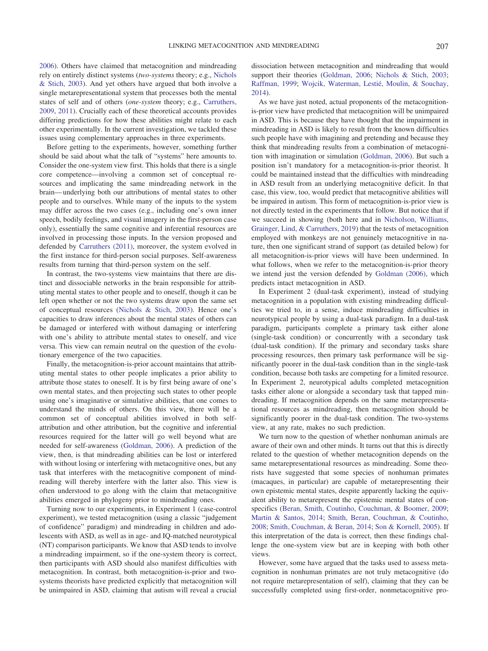2006). Others have claimed that metacognition and mindreading rely on entirely distinct systems (*two-systems* theory; e.g., Nichols & Stich, 2003). And yet others have argued that both involve a single metarepresentational system that processes both the mental states of self and of others (*one-system* theory; e.g., Carruthers, 2009, 2011). Crucially each of these theoretical accounts provides differing predictions for how these abilities might relate to each other experimentally. In the current investigation, we tackled these issues using complementary approaches in three experiments.

Before getting to the experiments, however, something further should be said about what the talk of "systems" here amounts to. Consider the one-system view first. This holds that there is a single core competence—involving a common set of conceptual resources and implicating the same mindreading network in the brain— underlying both our attributions of mental states to other people and to ourselves. While many of the inputs to the system may differ across the two cases (e.g., including one's own inner speech, bodily feelings, and visual imagery in the first-person case only), essentially the same cognitive and inferential resources are involved in processing those inputs. In the version proposed and defended by Carruthers (2011), moreover, the system evolved in the first instance for third-person social purposes. Self-awareness results from turning that third-person system on the self.

In contrast, the two-systems view maintains that there are distinct and dissociable networks in the brain responsible for attributing mental states to other people and to oneself, though it can be left open whether or not the two systems draw upon the same set of conceptual resources (Nichols & Stich, 2003). Hence one's capacities to draw inferences about the mental states of others can be damaged or interfered with without damaging or interfering with one's ability to attribute mental states to oneself, and vice versa. This view can remain neutral on the question of the evolutionary emergence of the two capacities.

Finally, the metacognition-is-prior account maintains that attributing mental states to other people implicates a prior ability to attribute those states to oneself. It is by first being aware of one's own mental states, and then projecting such states to other people using one's imaginative or simulative abilities, that one comes to understand the minds of others. On this view, there will be a common set of conceptual abilities involved in both selfattribution and other attribution, but the cognitive and inferential resources required for the latter will go well beyond what are needed for self-awareness (Goldman, 2006). A prediction of the view, then, is that mindreading abilities can be lost or interfered with without losing or interfering with metacognitive ones, but any task that interferes with the metacognitive component of mindreading will thereby interfere with the latter also. This view is often understood to go along with the claim that metacognitive abilities emerged in phylogeny prior to mindreading ones.

Turning now to our experiments, in Experiment 1 (case-control experiment), we tested metacognition (using a classic "judgement of confidence" paradigm) and mindreading in children and adolescents with ASD, as well as in age- and IQ-matched neurotypical (NT) comparison participants. We know that ASD tends to involve a mindreading impairment, so if the one-system theory is correct, then participants with ASD should also manifest difficulties with metacognition. In contrast, both metacognition-is-prior and twosystems theorists have predicted explicitly that metacognition will be unimpaired in ASD, claiming that autism will reveal a crucial dissociation between metacognition and mindreading that would support their theories (Goldman, 2006; Nichols & Stich, 2003; Raffman, 1999; Wojcik, Waterman, Lestié, Moulin, & Souchay, 2014).

As we have just noted, actual proponents of the metacognitionis-prior view have predicted that metacognition will be unimpaired in ASD. This is because they have thought that the impairment in mindreading in ASD is likely to result from the known difficulties such people have with imagining and pretending and because they think that mindreading results from a combination of metacognition with imagination or simulation (Goldman, 2006). But such a position isn't mandatory for a metacognition-is-prior theorist. It could be maintained instead that the difficulties with mindreading in ASD result from an underlying metacognitive deficit. In that case, this view, too, would predict that metacognitive abilities will be impaired in autism. This form of metacognition-is-prior view is not directly tested in the experiments that follow. But notice that if we succeed in showing (both here and in Nicholson, Williams, Grainger, Lind, & Carruthers, 2019) that the tests of metacognition employed with monkeys are not genuinely metacognitive in nature, then one significant strand of support (as detailed below) for all metacognition-is-prior views will have been undermined. In what follows, when we refer to the metacognition-is-prior theory we intend just the version defended by Goldman (2006), which predicts intact metacognition in ASD.

In Experiment 2 (dual-task experiment), instead of studying metacognition in a population with existing mindreading difficulties we tried to, in a sense, induce mindreading difficulties in neurotypical people by using a dual-task paradigm. In a dual-task paradigm, participants complete a primary task either alone (single-task condition) or concurrently with a secondary task (dual-task condition). If the primary and secondary tasks share processing resources, then primary task performance will be significantly poorer in the dual-task condition than in the single-task condition, because both tasks are competing for a limited resource. In Experiment 2, neurotypical adults completed metacognition tasks either alone or alongside a secondary task that tapped mindreading. If metacognition depends on the same metarepresentational resources as mindreading, then metacognition should be significantly poorer in the dual-task condition. The two-systems view, at any rate, makes no such prediction.

We turn now to the question of whether nonhuman animals are aware of their own and other minds. It turns out that this is directly related to the question of whether metacognition depends on the same metarepresentational resources as mindreading. Some theorists have suggested that some species of nonhuman primates (macaques, in particular) are capable of metarepresenting their own epistemic mental states, despite apparently lacking the equivalent ability to metarepresent the epistemic mental states of conspecifics (Beran, Smith, Coutinho, Couchman, & Boomer, 2009; Martin & Santos, 2014; Smith, Beran, Couchman, & Coutinho, 2008; Smith, Couchman, & Beran, 2014; Son & Kornell, 2005). If this interpretation of the data is correct, then these findings challenge the one-system view but are in keeping with both other views.

However, some have argued that the tasks used to assess metacognition in nonhuman primates are not truly metacognitive (do not require metarepresentation of self), claiming that they can be successfully completed using first-order, nonmetacognitive pro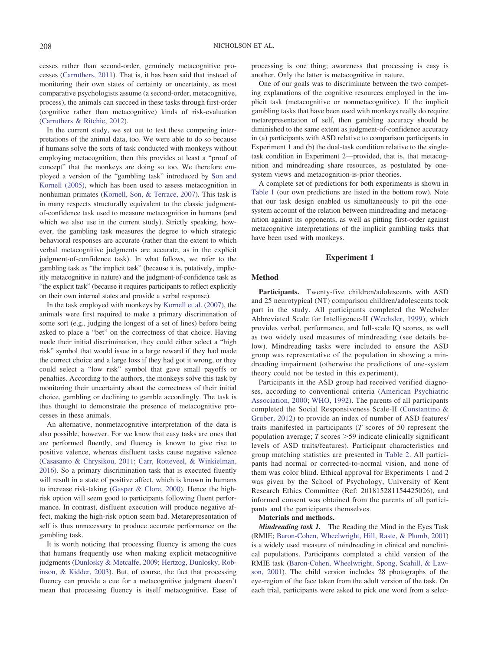cesses rather than second-order, genuinely metacognitive processes (Carruthers, 2011). That is, it has been said that instead of monitoring their own states of certainty or uncertainty, as most comparative psychologists assume (a second-order, metacognitive, process), the animals can succeed in these tasks through first-order (cognitive rather than metacognitive) kinds of risk-evaluation (Carruthers & Ritchie, 2012).

In the current study, we set out to test these competing interpretations of the animal data, too. We were able to do so because if humans solve the sorts of task conducted with monkeys without employing metacognition, then this provides at least a "proof of concept" that the monkeys are doing so too. We therefore employed a version of the "gambling task" introduced by Son and Kornell (2005), which has been used to assess metacognition in nonhuman primates (Kornell, Son, & Terrace, 2007). This task is in many respects structurally equivalent to the classic judgmentof-confidence task used to measure metacognition in humans (and which we also use in the current study). Strictly speaking, however, the gambling task measures the degree to which strategic behavioral responses are accurate (rather than the extent to which verbal metacognitive judgments are accurate, as in the explicit judgment-of-confidence task). In what follows, we refer to the gambling task as "the implicit task" (because it is, putatively, implicitly metacognitive in nature) and the judgment-of-confidence task as "the explicit task" (because it requires participants to reflect explicitly on their own internal states and provide a verbal response).

In the task employed with monkeys by Kornell et al. (2007), the animals were first required to make a primary discrimination of some sort (e.g., judging the longest of a set of lines) before being asked to place a "bet" on the correctness of that choice. Having made their initial discrimination, they could either select a "high risk" symbol that would issue in a large reward if they had made the correct choice and a large loss if they had got it wrong, or they could select a "low risk" symbol that gave small payoffs or penalties. According to the authors, the monkeys solve this task by monitoring their uncertainty about the correctness of their initial choice, gambling or declining to gamble accordingly. The task is thus thought to demonstrate the presence of metacognitive processes in these animals.

An alternative, nonmetacognitive interpretation of the data is also possible, however. For we know that easy tasks are ones that are performed fluently, and fluency is known to give rise to positive valence, whereas disfluent tasks cause negative valence (Casasanto & Chrysikou, 2011; Carr, Rotteveel, & Winkielman, 2016). So a primary discrimination task that is executed fluently will result in a state of positive affect, which is known in humans to increase risk-taking (Gasper & Clore, 2000). Hence the highrisk option will seem good to participants following fluent performance. In contrast, disfluent execution will produce negative affect, making the high-risk option seem bad. Metarepresentation of self is thus unnecessary to produce accurate performance on the gambling task.

It is worth noticing that processing fluency is among the cues that humans frequently use when making explicit metacognitive judgments (Dunlosky & Metcalfe, 2009; Hertzog, Dunlosky, Robinson, & Kidder, 2003). But, of course, the fact that processing fluency can provide a cue for a metacognitive judgment doesn't mean that processing fluency is itself metacognitive. Ease of processing is one thing; awareness that processing is easy is another. Only the latter is metacognitive in nature.

One of our goals was to discriminate between the two competing explanations of the cognitive resources employed in the implicit task (metacognitive or nonmetacognitive). If the implicit gambling tasks that have been used with monkeys really do require metarepresentation of self, then gambling accuracy should be diminished to the same extent as judgment-of-confidence accuracy in (a) participants with ASD relative to comparison participants in Experiment 1 and (b) the dual-task condition relative to the singletask condition in Experiment 2—provided, that is, that metacognition and mindreading share resources, as postulated by onesystem views and metacognition-is-prior theories.

A complete set of predictions for both experiments is shown in Table 1 (our own predictions are listed in the bottom row). Note that our task design enabled us simultaneously to pit the onesystem account of the relation between mindreading and metacognition against its opponents, as well as pitting first-order against metacognitive interpretations of the implicit gambling tasks that have been used with monkeys.

#### **Experiment 1**

#### **Method**

**Participants.** Twenty-five children/adolescents with ASD and 25 neurotypical (NT) comparison children/adolescents took part in the study. All participants completed the Wechsler Abbreviated Scale for Intelligence-II (Wechsler, 1999), which provides verbal, performance, and full-scale IQ scores, as well as two widely used measures of mindreading (see details below). Mindreading tasks were included to ensure the ASD group was representative of the population in showing a mindreading impairment (otherwise the predictions of one-system theory could not be tested in this experiment).

Participants in the ASD group had received verified diagnoses, according to conventional criteria (American Psychiatric Association, 2000; WHO, 1992). The parents of all participants completed the Social Responsiveness Scale-II (Constantino & Gruber, 2012) to provide an index of number of ASD features/ traits manifested in participants (*T* scores of 50 represent the population average;  $T$  scores  $>$  59 indicate clinically significant levels of ASD traits/features). Participant characteristics and group matching statistics are presented in Table 2. All participants had normal or corrected-to-normal vision, and none of them was color blind. Ethical approval for Experiments 1 and 2 was given by the School of Psychology, University of Kent Research Ethics Committee (Ref: 201815281154425026), and informed consent was obtained from the parents of all participants and the participants themselves.

#### **Materials and methods.**

*Mindreading task 1.* The Reading the Mind in the Eyes Task (RMIE; Baron-Cohen, Wheelwright, Hill, Raste, & Plumb, 2001) is a widely used measure of mindreading in clinical and nonclinical populations. Participants completed a child version of the RMIE task (Baron-Cohen, Wheelwright, Spong, Scahill, & Lawson, 2001). The child version includes 28 photographs of the eye-region of the face taken from the adult version of the task. On each trial, participants were asked to pick one word from a selec-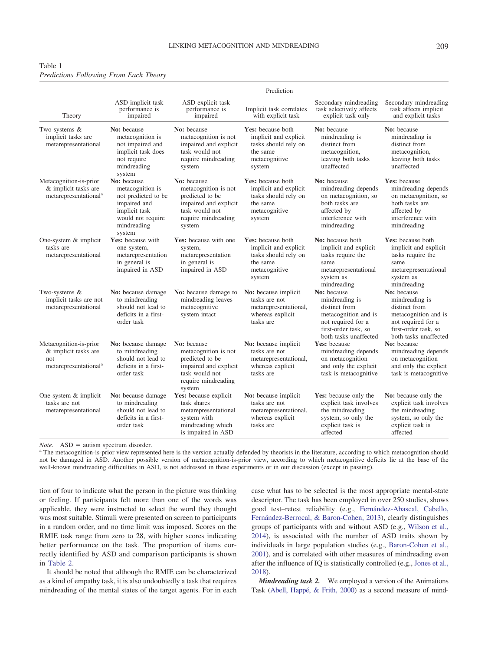| Table 1                                       |  |  |
|-----------------------------------------------|--|--|
| <b>Predictions Following From Each Theory</b> |  |  |

|                                                                                            | Prediction                                                                                                                            |                                                                                                                                    |                                                                                                           |                                                                                                                                               |                                                                                                                                               |  |  |
|--------------------------------------------------------------------------------------------|---------------------------------------------------------------------------------------------------------------------------------------|------------------------------------------------------------------------------------------------------------------------------------|-----------------------------------------------------------------------------------------------------------|-----------------------------------------------------------------------------------------------------------------------------------------------|-----------------------------------------------------------------------------------------------------------------------------------------------|--|--|
| Theory                                                                                     | ASD implicit task<br>performance is<br>impaired                                                                                       | ASD explicit task<br>performance is<br>impaired                                                                                    | Implicit task correlates<br>with explicit task                                                            | Secondary mindreading<br>task selectively affects<br>explicit task only                                                                       | Secondary mindreading<br>task affects implicit<br>and explicit tasks                                                                          |  |  |
| Two-systems &<br>implicit tasks are<br>metarepresentational                                | No: because<br>metacognition is<br>not impaired and<br>implicit task does<br>not require<br>mindreading<br>system                     | No: because<br>metacognition is not<br>impaired and explicit<br>task would not<br>require mindreading<br>system                    | Yes: because both<br>implicit and explicit<br>tasks should rely on<br>the same<br>metacognitive<br>system | No: because<br>mindreading is<br>distinct from<br>metacognition,<br>leaving both tasks<br>unaffected                                          | No: because<br>mindreading is<br>distinct from<br>metacognition,<br>leaving both tasks<br>unaffected                                          |  |  |
| Metacognition-is-prior<br>& implicit tasks are<br>metarepresentational <sup>a</sup>        | No: because<br>metacognition is<br>not predicted to be<br>impaired and<br>implicit task<br>would not require<br>mindreading<br>system | No: because<br>metacognition is not<br>predicted to be<br>impaired and explicit<br>task would not<br>require mindreading<br>system | Yes: because both<br>implicit and explicit<br>tasks should rely on<br>the same<br>metacognitive<br>system | No: because<br>mindreading depends<br>on metacognition, so<br>both tasks are<br>affected by<br>interference with<br>mindreading               | Yes: because<br>mindreading depends<br>on metacognition, so<br>both tasks are<br>affected by<br>interference with<br>mindreading              |  |  |
| One-system & implicit<br>tasks are<br>metarepresentational                                 | Yes: because with<br>one system,<br>metarepresentation<br>in general is<br>impaired in ASD                                            | <b>Yes:</b> because with one<br>system,<br>metarepresentation<br>in general is<br>impaired in ASD                                  | Yes: because both<br>implicit and explicit<br>tasks should rely on<br>the same<br>metacognitive<br>system | No: because both<br>implicit and explicit<br>tasks require the<br>same<br>metarepresentational<br>system as<br>mindreading                    | Yes: because both<br>implicit and explicit<br>tasks require the<br>same<br>metarepresentational<br>system as<br>mindreading                   |  |  |
| Two-systems $&$<br>implicit tasks are not<br>metarepresentational                          | No: because damage<br>to mindreading<br>should not lead to<br>deficits in a first-<br>order task                                      | No: because damage to<br>mindreading leaves<br>metacognitive<br>system intact                                                      | No: because implicit<br>tasks are not<br>metarepresentational,<br>whereas explicit<br>tasks are           | No: because<br>mindreading is<br>distinct from<br>metacognition and is<br>not required for a<br>first-order task, so<br>both tasks unaffected | No: because<br>mindreading is<br>distinct from<br>metacognition and is<br>not required for a<br>first-order task, so<br>both tasks unaffected |  |  |
| Metacognition-is-prior<br>& implicit tasks are<br>not<br>metarepresentational <sup>a</sup> | No: because damage<br>to mindreading<br>should not lead to<br>deficits in a first-<br>order task                                      | No: because<br>metacognition is not<br>predicted to be<br>impaired and explicit<br>task would not<br>require mindreading<br>system | No: because implicit<br>tasks are not<br>metarepresentational,<br>whereas explicit<br>tasks are           | Yes: because<br>mindreading depends<br>on metacognition<br>and only the explicit<br>task is metacognitive                                     | No: because<br>mindreading depends<br>on metacognition<br>and only the explicit<br>task is metacognitive                                      |  |  |
| One-system & implicit<br>tasks are not<br>metarepresentational                             | No: because damage<br>to mindreading<br>should not lead to<br>deficits in a first-<br>order task                                      | Yes: because explicit<br>task shares<br>metarepresentational<br>system with<br>mindreading which<br>is impaired in ASD             | No: because implicit<br>tasks are not<br>metarepresentational,<br>whereas explicit<br>tasks are           | Yes: because only the<br>explicit task involves<br>the mindreading<br>system, so only the<br>explicit task is<br>affected                     | No: because only the<br>explicit task involves<br>the mindreading<br>system, so only the<br>explicit task is<br>affected                      |  |  |

*Note*. ASD = autism spectrum disorder.<br><sup>a</sup> The metacognition-is-prior view represented here is the version actually defended by theorists in the literature, according to which metacognition should not be damaged in ASD. Another possible version of metacognition-is-prior view, according to which metacognitive deficits lie at the base of the well-known mindreading difficulties in ASD, is not addressed in these experiments or in our discussion (except in passing).

tion of four to indicate what the person in the picture was thinking or feeling. If participants felt more than one of the words was applicable, they were instructed to select the word they thought was most suitable. Stimuli were presented on screen to participants in a random order, and no time limit was imposed. Scores on the RMIE task range from zero to 28, with higher scores indicating better performance on the task. The proportion of items correctly identified by ASD and comparison participants is shown in Table 2.

It should be noted that although the RMIE can be characterized as a kind of empathy task, it is also undoubtedly a task that requires mindreading of the mental states of the target agents. For in each case what has to be selected is the most appropriate mental-state descriptor. The task has been employed in over 250 studies, shows good test–retest reliability (e.g., Fernández-Abascal, Cabello, Fernández-Berrocal, & Baron-Cohen, 2013), clearly distinguishes groups of participants with and without ASD (e.g., Wilson et al., 2014), is associated with the number of ASD traits shown by individuals in large population studies (e.g., Baron-Cohen et al., 2001), and is correlated with other measures of mindreading even after the influence of IQ is statistically controlled (e.g., Jones et al., 2018).

*Mindreading task 2.* We employed a version of the Animations Task (Abell, Happé, & Frith, 2000) as a second measure of mind-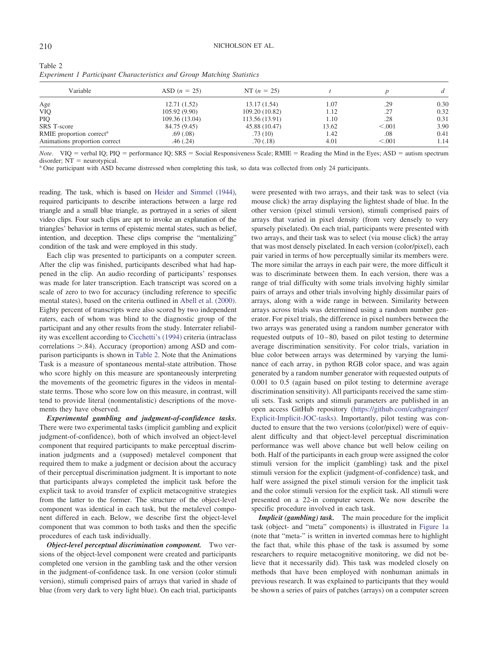| Variable                             | ASD $(n = 25)$ | NT $(n = 25)$  |       |         | $\mathfrak{a}$ |
|--------------------------------------|----------------|----------------|-------|---------|----------------|
| Age                                  | 12.71(1.52)    | 13.17(1.54)    | 1.07  | .29     | 0.30           |
| <b>VIQ</b>                           | 105.92(9.90)   | 109.20 (10.82) | 1.12  | .27     | 0.32           |
| <b>PIO</b>                           | 109.36 (13.04) | 113.56 (13.91) | 1.10  | .28     | 0.31           |
| SRS T-score                          | 84.75 (9.45)   | 45.88 (10.47)  | 13.62 | < 0.001 | 3.90           |
| RMIE proportion correct <sup>a</sup> | .69(.08)       | .73(10)        | 1.42  | .08     | 0.41           |
| Animations proportion correct        | .46(.24)       | .70(0.18)      | 4.01  | < 0.001 | 1.14           |

| Table 2 |                                                                               |  |  |
|---------|-------------------------------------------------------------------------------|--|--|
|         | <b>Experiment 1 Participant Characteristics and Group Matching Statistics</b> |  |  |

*Note*. VIQ = verbal IQ; PIQ = performance IQ; SRS = Social Responsiveness Scale; RMIE = Reading the Mind in the Eyes; ASD = autism spectrum disorder; NT = neurotypical.<br><sup>a</sup> One participant with ASD became distressed when completing this task, so data was collected from only 24 participants.

reading. The task, which is based on Heider and Simmel (1944), required participants to describe interactions between a large red triangle and a small blue triangle, as portrayed in a series of silent video clips. Four such clips are apt to invoke an explanation of the triangles' behavior in terms of epistemic mental states, such as belief, intention, and deception. These clips comprise the "mentalizing" condition of the task and were employed in this study.

Each clip was presented to participants on a computer screen. After the clip was finished, participants described what had happened in the clip. An audio recording of participants' responses was made for later transcription. Each transcript was scored on a scale of zero to two for accuracy (including reference to specific mental states), based on the criteria outlined in Abell et al. (2000). Eighty percent of transcripts were also scored by two independent raters, each of whom was blind to the diagnostic group of the participant and any other results from the study. Interrater reliability was excellent according to Cicchetti's (1994) criteria (intraclass correlations  $> 0.84$ ). Accuracy (proportion) among ASD and comparison participants is shown in Table 2. Note that the Animations Task is a measure of spontaneous mental-state attribution. Those who score highly on this measure are spontaneously interpreting the movements of the geometric figures in the videos in mentalstate terms. Those who score low on this measure, in contrast, will tend to provide literal (nonmentalistic) descriptions of the movements they have observed.

*Experimental gambling and judgment-of-confidence tasks.* There were two experimental tasks (implicit gambling and explicit judgment-of-confidence), both of which involved an object-level component that required participants to make perceptual discrimination judgments and a (supposed) metalevel component that required them to make a judgment or decision about the accuracy of their perceptual discrimination judgment. It is important to note that participants always completed the implicit task before the explicit task to avoid transfer of explicit metacognitive strategies from the latter to the former. The structure of the object-level component was identical in each task, but the metalevel component differed in each. Below, we describe first the object-level component that was common to both tasks and then the specific procedures of each task individually.

*Object-level perceptual discrimination component.* Two versions of the object-level component were created and participants completed one version in the gambling task and the other version in the judgment-of-confidence task. In one version (color stimuli version), stimuli comprised pairs of arrays that varied in shade of blue (from very dark to very light blue). On each trial, participants

were presented with two arrays, and their task was to select (via mouse click) the array displaying the lightest shade of blue. In the other version (pixel stimuli version), stimuli comprised pairs of arrays that varied in pixel density (from very densely to very sparsely pixelated). On each trial, participants were presented with two arrays, and their task was to select (via mouse click) the array that was most densely pixelated. In each version (color/pixel), each pair varied in terms of how perceptually similar its members were. The more similar the arrays in each pair were, the more difficult it was to discriminate between them. In each version, there was a range of trial difficulty with some trials involving highly similar pairs of arrays and other trials involving highly dissimilar pairs of arrays, along with a wide range in between. Similarity between arrays across trials was determined using a random number generator. For pixel trials, the difference in pixel numbers between the two arrays was generated using a random number generator with requested outputs of 10 – 80, based on pilot testing to determine average discrimination sensitivity. For color trials, variation in blue color between arrays was determined by varying the luminance of each array, in python RGB color space, and was again generated by a random number generator with requested outputs of 0.001 to 0.5 (again based on pilot testing to determine average discrimination sensitivity). All participants received the same stimuli sets. Task scripts and stimuli parameters are published in an open access GitHub repository [\(https://github.com/cathgrainger/](https://github.com/cathgrainger/Explicit-Implicit-JOC-tasks) [Explicit-Implicit-JOC-tasks\)](https://github.com/cathgrainger/Explicit-Implicit-JOC-tasks). Importantly, pilot testing was conducted to ensure that the two versions (color/pixel) were of equivalent difficulty and that object-level perceptual discrimination performance was well above chance but well below ceiling on both. Half of the participants in each group were assigned the color stimuli version for the implicit (gambling) task and the pixel stimuli version for the explicit (judgment-of-confidence) task, and half were assigned the pixel stimuli version for the implicit task and the color stimuli version for the explicit task. All stimuli were presented on a 22-in computer screen. We now describe the specific procedure involved in each task.

*Implicit (gambling) task.* The main procedure for the implicit task (object- and "meta" components) is illustrated in Figure 1a (note that "meta-" is written in inverted commas here to highlight the fact that, while this phase of the task is assumed by some researchers to require metacognitive monitoring, we did not believe that it necessarily did). This task was modeled closely on methods that have been employed with nonhuman animals in previous research. It was explained to participants that they would be shown a series of pairs of patches (arrays) on a computer screen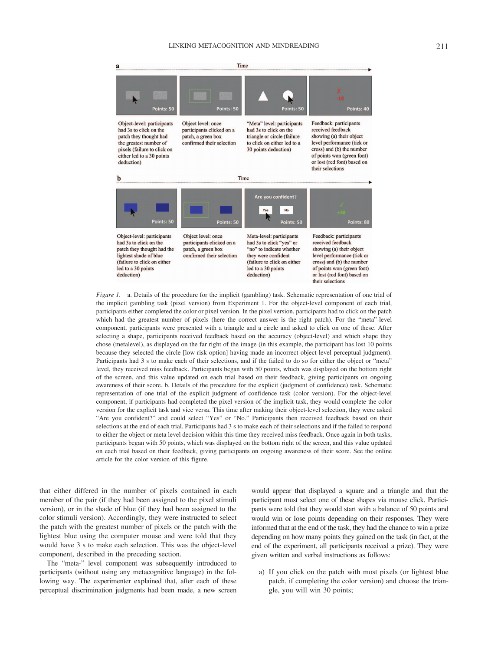

*Figure 1.* a. Details of the procedure for the implicit (gambling) task. Schematic representation of one trial of the implicit gambling task (pixel version) from Experiment 1. For the object-level component of each trial, participants either completed the color or pixel version. In the pixel version, participants had to click on the patch which had the greatest number of pixels (here the correct answer is the right patch). For the "meta"-level component, participants were presented with a triangle and a circle and asked to click on one of these. After selecting a shape, participants received feedback based on the accuracy (object-level) and which shape they chose (metalevel), as displayed on the far right of the image (in this example, the participant has lost 10 points because they selected the circle [low risk option] having made an incorrect object-level perceptual judgment). Participants had 3 s to make each of their selections, and if the failed to do so for either the object or "meta" level, they received miss feedback. Participants began with 50 points, which was displayed on the bottom right of the screen, and this value updated on each trial based on their feedback, giving participants on ongoing awareness of their score. b. Details of the procedure for the explicit (judgment of confidence) task. Schematic representation of one trial of the explicit judgment of confidence task (color version). For the object-level component, if participants had completed the pixel version of the implicit task, they would complete the color version for the explicit task and vice versa. This time after making their object-level selection, they were asked "Are you confident?" and could select "Yes" or "No." Participants then received feedback based on their selections at the end of each trial. Participants had 3 s to make each of their selections and if the failed to respond to either the object or meta level decision within this time they received miss feedback. Once again in both tasks, participants began with 50 points, which was displayed on the bottom right of the screen, and this value updated on each trial based on their feedback, giving participants on ongoing awareness of their score. See the online article for the color version of this figure.

that either differed in the number of pixels contained in each member of the pair (if they had been assigned to the pixel stimuli version), or in the shade of blue (if they had been assigned to the color stimuli version). Accordingly, they were instructed to select the patch with the greatest number of pixels or the patch with the lightest blue using the computer mouse and were told that they would have 3 s to make each selection. This was the object-level component, described in the preceding section.

The "meta-" level component was subsequently introduced to participants (without using any metacognitive language) in the following way. The experimenter explained that, after each of these perceptual discrimination judgments had been made, a new screen

would appear that displayed a square and a triangle and that the participant must select one of these shapes via mouse click. Participants were told that they would start with a balance of 50 points and would win or lose points depending on their responses. They were informed that at the end of the task, they had the chance to win a prize depending on how many points they gained on the task (in fact, at the end of the experiment, all participants received a prize). They were given written and verbal instructions as follows:

a) If you click on the patch with most pixels (or lightest blue patch, if completing the color version) and choose the triangle, you will win 30 points;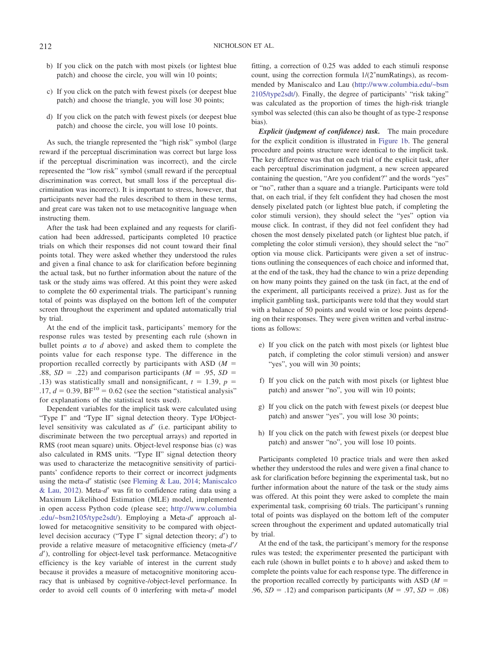- b) If you click on the patch with most pixels (or lightest blue patch) and choose the circle, you will win 10 points;
- c) If you click on the patch with fewest pixels (or deepest blue patch) and choose the triangle, you will lose 30 points;
- d) If you click on the patch with fewest pixels (or deepest blue patch) and choose the circle, you will lose 10 points.

As such, the triangle represented the "high risk" symbol (large reward if the perceptual discrimination was correct but large loss if the perceptual discrimination was incorrect), and the circle represented the "low risk" symbol (small reward if the perceptual discrimination was correct, but small loss if the perceptual discrimination was incorrect). It is important to stress, however, that participants never had the rules described to them in these terms, and great care was taken not to use metacognitive language when instructing them.

After the task had been explained and any requests for clarification had been addressed, participants completed 10 practice trials on which their responses did not count toward their final points total. They were asked whether they understood the rules and given a final chance to ask for clarification before beginning the actual task, but no further information about the nature of the task or the study aims was offered. At this point they were asked to complete the 60 experimental trials. The participant's running total of points was displayed on the bottom left of the computer screen throughout the experiment and updated automatically trial by trial.

At the end of the implicit task, participants' memory for the response rules was tested by presenting each rule (shown in bullet points *a* to *d* above) and asked them to complete the points value for each response type. The difference in the proportion recalled correctly by participants with ASD (*M* .88,  $SD = .22$ ) and comparison participants ( $M = .95$ ,  $SD =$ .13) was statistically small and nonsignificant,  $t = 1.39$ ,  $p =$ .17,  $d = 0.39$ ,  $BF^{10} = 0.62$  (see the section "statistical analysis" for explanations of the statistical tests used).

Dependent variables for the implicit task were calculated using "Type I" and "Type II" signal detection theory. Type I/Objectlevel sensitivity was calculated as *d'* (i.e. participant ability to discriminate between the two perceptual arrays) and reported in RMS (root mean square) units. Object-level response bias (c) was also calculated in RMS units. "Type II" signal detection theory was used to characterize the metacognitive sensitivity of participants' confidence reports to their correct or incorrect judgments using the meta-*d'* statistic (see Fleming & Lau, 2014; Maniscalco & Lau, 2012). Meta-*d'* was fit to confidence rating data using a Maximum Likelihood Estimation (MLE) model, implemented in open access Python code (please see; [http://www.columbia](http://www.columbia.edu/%7Ebsm2105/type2sdt/) [.edu/~bsm2105/type2sdt/\)](http://www.columbia.edu/%7Ebsm2105/type2sdt/). Employing a Meta-d' approach allowed for metacognitive sensitivity to be compared with objectlevel decision accuracy ("Type I" signal detection theory; *d*") to provide a relative measure of metacognitive efficiency (meta- $d'/$ *d'*), controlling for object-level task performance. Metacognitive efficiency is the key variable of interest in the current study because it provides a measure of metacognitive monitoring accuracy that is unbiased by cognitive-/object-level performance. In order to avoid cell counts of 0 interfering with meta-*d'* model fitting, a correction of 0.25 was added to each stimuli response count, using the correction formula  $1/(2^*$ numRatings), as recommended by Maniscalco and Lau [\(http://www.columbia.edu/~bsm](http://www.columbia.edu/%7Ebsm2105/type2sdt/) [2105/type2sdt/\)](http://www.columbia.edu/%7Ebsm2105/type2sdt/). Finally, the degree of participants' "risk taking" was calculated as the proportion of times the high-risk triangle symbol was selected (this can also be thought of as type-2 response bias).

*Explicit (judgment of confidence) task.* The main procedure for the explicit condition is illustrated in Figure 1b. The general procedure and points structure were identical to the implicit task. The key difference was that on each trial of the explicit task, after each perceptual discrimination judgment, a new screen appeared containing the question, "Are you confident?" and the words "yes" or "no", rather than a square and a triangle. Participants were told that, on each trial, if they felt confident they had chosen the most densely pixelated patch (or lightest blue patch, if completing the color stimuli version), they should select the "yes" option via mouse click. In contrast, if they did not feel confident they had chosen the most densely pixelated patch (or lightest blue patch, if completing the color stimuli version), they should select the "no" option via mouse click. Participants were given a set of instructions outlining the consequences of each choice and informed that, at the end of the task, they had the chance to win a prize depending on how many points they gained on the task (in fact, at the end of the experiment, all participants received a prize). Just as for the implicit gambling task, participants were told that they would start with a balance of 50 points and would win or lose points depending on their responses. They were given written and verbal instructions as follows:

- e) If you click on the patch with most pixels (or lightest blue patch, if completing the color stimuli version) and answer "yes", you will win 30 points;
- f) If you click on the patch with most pixels (or lightest blue patch) and answer "no", you will win 10 points;
- g) If you click on the patch with fewest pixels (or deepest blue patch) and answer "yes", you will lose 30 points;
- h) If you click on the patch with fewest pixels (or deepest blue patch) and answer "no", you will lose 10 points.

Participants completed 10 practice trials and were then asked whether they understood the rules and were given a final chance to ask for clarification before beginning the experimental task, but no further information about the nature of the task or the study aims was offered. At this point they were asked to complete the main experimental task, comprising 60 trials. The participant's running total of points was displayed on the bottom left of the computer screen throughout the experiment and updated automatically trial by trial.

At the end of the task, the participant's memory for the response rules was tested; the experimenter presented the participant with each rule (shown in bullet points e to h above) and asked them to complete the points value for each response type. The difference in the proportion recalled correctly by participants with ASD  $(M =$ .96,  $SD = .12$ ) and comparison participants ( $M = .97$ ,  $SD = .08$ )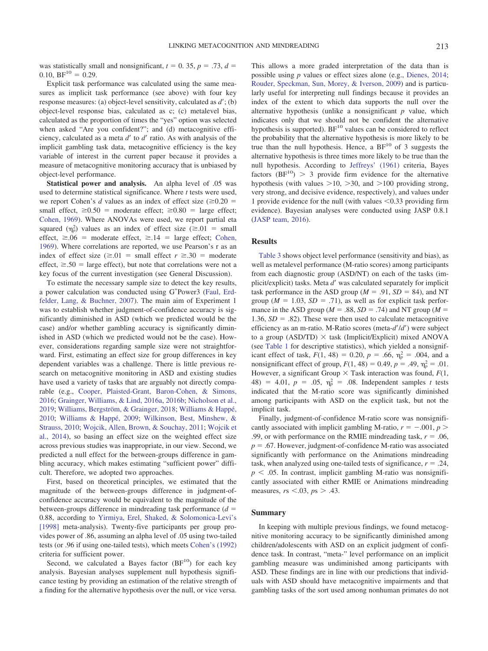was statistically small and nonsignificant,  $t = 0$ . 35,  $p = .73$ ,  $d =$ 0.10,  $BF^{10} = 0.29$ .

Explicit task performance was calculated using the same measures as implicit task performance (see above) with four key response measures: (a) object-level sensitivity, calculated as  $d'$ ; (b) object-level response bias, calculated as c; (c) metalevel bias, calculated as the proportion of times the "yes" option was selected when asked "Are you confident?"; and (d) metacognitive efficiency, calculated as a meta *d'* to *d'* ratio. As with analysis of the implicit gambling task data, metacognitive efficiency is the key variable of interest in the current paper because it provides a measure of metacognitive monitoring accuracy that is unbiased by object-level performance.

**Statistical power and analysis.** An alpha level of .05 was used to determine statistical significance. Where *t* tests were used, we report Cohen's *d* values as an index of effect size  $(\geq 0.20)$ small effect,  $\geq 0.50$  = moderate effect;  $\geq 0.80$  = large effect; Cohen, 1969). Where ANOVAs were used, we report partial eta squared  $(\eta_p^2)$  values as an index of effect size ( $\geq 0.01$  = small effect,  $\geq .06$  = moderate effect,  $\geq .14$  = large effect; Cohen, 1969). Where correlations are reported, we use Pearson's r as an index of effect size  $(\ge 0)$  = small effect  $r \ge 0.30$  = moderate effect,  $\geq 0.50$  = large effect), but note that correlations were not a key focus of the current investigation (see General Discussion).

To estimate the necessary sample size to detect the key results, a power calculation was conducted using G\*Power3 (Faul, Erdfelder, Lang, & Buchner, 2007). The main aim of Experiment 1 was to establish whether judgment-of-confidence accuracy is significantly diminished in ASD (which we predicted would be the case) and/or whether gambling accuracy is significantly diminished in ASD (which we predicted would not be the case). However, considerations regarding sample size were not straightforward. First, estimating an effect size for group differences in key dependent variables was a challenge. There is little previous research on metacognitive monitoring in ASD and existing studies have used a variety of tasks that are arguably not directly comparable (e.g., Cooper, Plaisted-Grant, Baron-Cohen, & Simons, 2016; Grainger, Williams, & Lind, 2016a, 2016b; Nicholson et al., 2019; Williams, Bergström, & Grainger, 2018; Williams & Happé, 2010; Williams & Happé, 2009; Wilkinson, Best, Minshew, & Strauss, 2010; Wojcik, Allen, Brown, & Souchay, 2011; Wojcik et al., 2014), so basing an effect size on the weighted effect size across previous studies was inappropriate, in our view. Second, we predicted a null effect for the between-groups difference in gambling accuracy, which makes estimating "sufficient power" difficult. Therefore, we adopted two approaches.

First, based on theoretical principles, we estimated that the magnitude of the between-groups difference in judgment-ofconfidence accuracy would be equivalent to the magnitude of the between-groups difference in mindreading task performance (*d* 0.88, according to Yirmiya, Erel, Shaked, & Solomonica-Levi's [1998] meta-analysis). Twenty-five participants per group provides power of .86, assuming an alpha level of .05 using two-tailed tests (or .96 if using one-tailed tests), which meets Cohen's (1992) criteria for sufficient power.

Second, we calculated a Bayes factor  $(BF<sup>10</sup>)$  for each key analysis. Bayesian analyses supplement null hypothesis significance testing by providing an estimation of the relative strength of a finding for the alternative hypothesis over the null, or vice versa.

This allows a more graded interpretation of the data than is possible using *p* values or effect sizes alone (e.g., Dienes, 2014; Rouder, Speckman, Sun, Morey, & Iverson, 2009) and is particularly useful for interpreting null findings because it provides an index of the extent to which data supports the null over the alternative hypothesis (unlike a nonsignificant *p* value, which indicates only that we should not be confident the alternative hypothesis is supported).  $BF^{10}$  values can be considered to reflect the probability that the alternative hypothesis is more likely to be true than the null hypothesis. Hence, a  $BF^{10}$  of 3 suggests the alternative hypothesis is three times more likely to be true than the null hypothesis. According to Jeffreys' (1961) criteria, Bayes factors  $(BF<sup>10</sup>) > 3$  provide firm evidence for the alternative hypothesis (with values  $>10$ ,  $>30$ , and  $>100$  providing strong, very strong, and decisive evidence, respectively), and values under 1 provide evidence for the null (with values  $\leq 0.33$  providing firm evidence). Bayesian analyses were conducted using JASP 0.8.1 (JASP team, 2016).

#### **Results**

Table 3 shows object level performance (sensitivity and bias), as well as metalevel performance (M-ratio scores) among participants from each diagnostic group (ASD/NT) on each of the tasks (implicit/explicit) tasks. Meta *d'* was calculated separately for implicit task performance in the ASD group ( $M = .91$ ,  $SD = 84$ ), and NT group ( $M = 1.03$ ,  $SD = .71$ ), as well as for explicit task performance in the ASD group ( $M = .88$ ,  $SD = .74$ ) and NT group ( $M =$ 1.36,  $SD = .82$ ). These were then used to calculate metacognitive efficiency as an m-ratio. M-Ratio scores (meta-*d'/d'*) were subject to a group (ASD/TD)  $\times$  task (Implicit/Explicit) mixed ANOVA (see Table 1 for descriptive statistics), which yielded a nonsignificant effect of task,  $F(1, 48) = 0.20$ ,  $p = .66$ ,  $\eta_p^2 = .004$ , and a nonsignificant effect of group,  $F(1, 48) = 0.49$ ,  $p = .49$ ,  $\eta_p^2 = .01$ . However, a significant Group  $\times$  Task interaction was found,  $F(1, 1)$ 48) = 4.01,  $p = .05$ ,  $\eta_p^2 = .08$ . Independent samples *t* tests indicated that the M-ratio score was significantly diminished among participants with ASD on the explicit task, but not the implicit task.

Finally, judgment-of-confidence M-ratio score was nonsignificantly associated with implicit gambling M-ratio,  $r = -.001$ ,  $p >$ .99, or with performance on the RMIE mindreading task,  $r = .06$ ,  $p = .67$ . However, judgment-of-confidence M-ratio was associated significantly with performance on the Animations mindreading task, when analyzed using one-tailed tests of significance,  $r = .24$ ,  $p < .05$ . In contrast, implicit gambling M-ratio was nonsignificantly associated with either RMIE or Animations mindreading measures,  $rs$  < .03,  $ps$  > .43.

#### **Summary**

In keeping with multiple previous findings, we found metacognitive monitoring accuracy to be significantly diminished among children/adolescents with ASD on an explicit judgment of confidence task. In contrast, "meta-" level performance on an implicit gambling measure was undiminished among participants with ASD. These findings are in line with our predictions that individuals with ASD should have metacognitive impairments and that gambling tasks of the sort used among nonhuman primates do not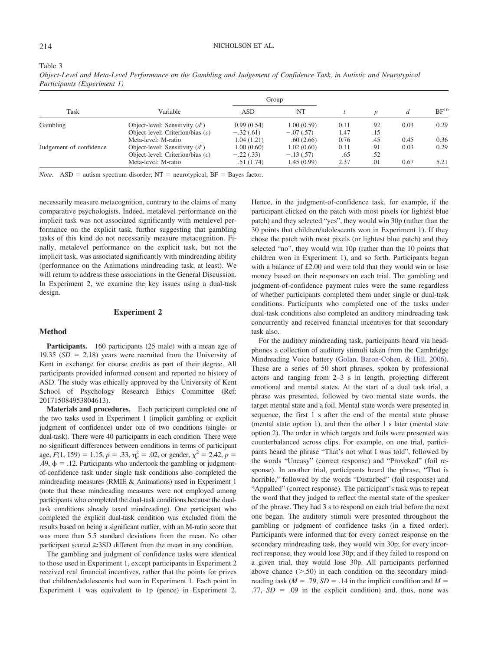#### 214 NICHOLSON ET AL.

#### Table 3

*Object-Level and Meta-Level Performance on the Gambling and Judgement of Confidence Task, in Autistic and Neurotypical Participants (Experiment 1)*

|                         |                                    | Group       |             |      |                  |      |           |
|-------------------------|------------------------------------|-------------|-------------|------|------------------|------|-----------|
| Task                    | Variable                           | ASD         | NT          |      | $\boldsymbol{n}$ | d    | $BF^{10}$ |
| Gambling                | Object-level: Sensitivity $(d')$   | 0.99(0.54)  | 1.00(0.59)  | 0.11 | .92              | 0.03 | 0.29      |
|                         | Object-level: Criterion/bias $(c)$ | $-.32(.61)$ | $-.07(.57)$ | 1.47 | .15              |      |           |
|                         | Meta-level: M-ratio                | 1.04(1.21)  | .60(2.66)   | 0.76 | .45              | 0.45 | 0.36      |
| Judgement of confidence | Object-level: Sensitivity $(d')$   | 1.00(0.60)  | 1.02(0.60)  | 0.11 | .91              | 0.03 | 0.29      |
|                         | Object-level: Criterion/bias $(c)$ | $-.22(.33)$ | $-.13(.57)$ | .65  | .52              |      |           |
|                         | Meta-level: M-ratio                | .51(1.74)   | 1.45 (0.99) | 2.37 | .01              | 0.67 | 5.21      |

*Note.* ASD = autism spectrum disorder;  $NT$  = neurotypical;  $BF$  = Bayes factor.

necessarily measure metacognition, contrary to the claims of many comparative psychologists. Indeed, metalevel performance on the implicit task was not associated significantly with metalevel performance on the explicit task, further suggesting that gambling tasks of this kind do not necessarily measure metacognition. Finally, metalevel performance on the explicit task, but not the implicit task, was associated significantly with mindreading ability (performance on the Animations mindreading task, at least). We will return to address these associations in the General Discussion. In Experiment 2, we examine the key issues using a dual-task design.

#### **Experiment 2**

#### **Method**

Participants. 160 participants (25 male) with a mean age of 19.35  $(SD = 2.18)$  years were recruited from the University of Kent in exchange for course credits as part of their degree. All participants provided informed consent and reported no history of ASD. The study was ethically approved by the University of Kent School of Psychology Research Ethics Committee (Ref: 201715084953804613).

**Materials and procedures.** Each participant completed one of the two tasks used in Experiment 1 (implicit gambling or explicit judgment of confidence) under one of two conditions (single- or dual-task). There were 40 participants in each condition. There were no significant differences between conditions in terms of participant age,  $F(1, 159) = 1.15$ ,  $p = .33$ ,  $\eta_p^2 = .02$ , or gender,  $\chi^2 = 2.42$ ,  $p =$ .49,  $\phi = 0.12$ . Participants who undertook the gambling or judgmentof-confidence task under single task conditions also completed the mindreading measures (RMIE & Animations) used in Experiment 1 (note that these mindreading measures were not employed among participants who completed the dual-task conditions because the dualtask conditions already taxed mindreading). One participant who completed the explicit dual-task condition was excluded from the results based on being a significant outlier, with an M-ratio score that was more than 5.5 standard deviations from the mean. No other participant scored  $\geq$ 3SD different from the mean in any condition.

The gambling and judgment of confidence tasks were identical to those used in Experiment 1, except participants in Experiment 2 received real financial incentives, rather that the points for prizes that children/adolescents had won in Experiment 1. Each point in Experiment 1 was equivalent to 1p (pence) in Experiment 2.

Hence, in the judgment-of-confidence task, for example, if the participant clicked on the patch with most pixels (or lightest blue patch) and they selected "yes", they would win 30p (rather than the 30 points that children/adolescents won in Experiment 1). If they chose the patch with most pixels (or lightest blue patch) and they selected "no", they would win 10p (rather than the 10 points that children won in Experiment 1), and so forth. Participants began with a balance of £2.00 and were told that they would win or lose money based on their responses on each trial. The gambling and judgment-of-confidence payment rules were the same regardless of whether participants completed them under single or dual-task conditions. Participants who completed one of the tasks under dual-task conditions also completed an auditory mindreading task concurrently and received financial incentives for that secondary task also.

For the auditory mindreading task, participants heard via headphones a collection of auditory stimuli taken from the Cambridge Mindreading Voice battery (Golan, Baron-Cohen, & Hill, 2006). These are a series of 50 short phrases, spoken by professional actors and ranging from 2–3 s in length, projecting different emotional and mental states. At the start of a dual task trial, a phrase was presented, followed by two mental state words, the target mental state and a foil. Mental state words were presented in sequence, the first 1 s after the end of the mental state phrase (mental state option 1), and then the other 1 s later (mental state option 2). The order in which targets and foils were presented was counterbalanced across clips. For example, on one trial, participants heard the phrase "That's not what I was told", followed by the words "Uneasy" (correct response) and "Provoked" (foil response). In another trial, participants heard the phrase, "That is horrible," followed by the words "Disturbed" (foil response) and "Appalled" (correct response). The participant's task was to repeat the word that they judged to reflect the mental state of the speaker of the phrase. They had 3 s to respond on each trial before the next one began. The auditory stimuli were presented throughout the gambling or judgment of confidence tasks (in a fixed order). Participants were informed that for every correct response on the secondary mindreading task, they would win 30p; for every incorrect response, they would lose 30p; and if they failed to respond on a given trial, they would lose 30p. All participants performed above chance  $(> 0.50)$  in each condition on the secondary mindreading task ( $M = .79$ ,  $SD = .14$  in the implicit condition and  $M =$  $.77$ ,  $SD = .09$  in the explicit condition) and, thus, none was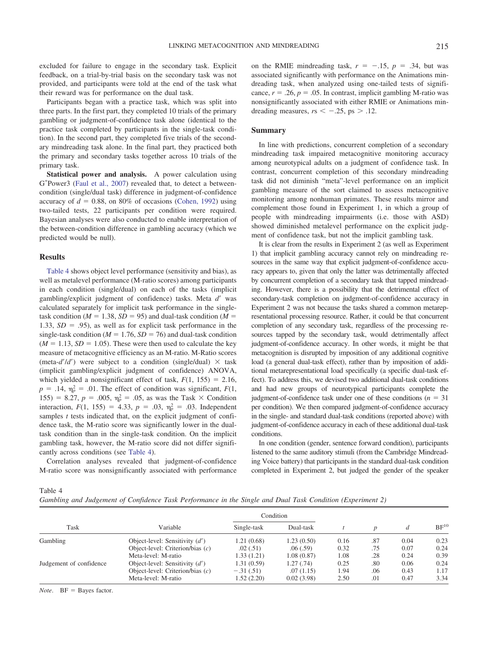excluded for failure to engage in the secondary task. Explicit feedback, on a trial-by-trial basis on the secondary task was not provided, and participants were told at the end of the task what their reward was for performance on the dual task.

Participants began with a practice task, which was split into three parts. In the first part, they completed 10 trials of the primary gambling or judgment-of-confidence task alone (identical to the practice task completed by participants in the single-task condition). In the second part, they completed five trials of the secondary mindreading task alone. In the final part, they practiced both the primary and secondary tasks together across 10 trials of the primary task.

**Statistical power and analysis.** A power calculation using G\*Power3 (Faul et al., 2007) revealed that, to detect a betweencondition (single/dual task) difference in judgment-of-confidence accuracy of  $d = 0.88$ , on 80% of occasions (Cohen, 1992) using two-tailed tests, 22 participants per condition were required. Bayesian analyses were also conducted to enable interpretation of the between-condition difference in gambling accuracy (which we predicted would be null).

#### **Results**

Table 4 shows object level performance (sensitivity and bias), as well as metalevel performance (M-ratio scores) among participants in each condition (single/dual) on each of the tasks (implicit gambling/explicit judgment of confidence) tasks. Meta *d'* was calculated separately for implicit task performance in the singletask condition ( $M = 1.38$ ,  $SD = 95$ ) and dual-task condition ( $M =$ 1.33,  $SD = .95$ ), as well as for explicit task performance in the single-task condition ( $M = 1.76$ ,  $SD = 76$ ) and dual-task condition  $(M = 1.13, SD = 1.05)$ . These were then used to calculate the key measure of metacognitive efficiency as an M-ratio. M-Ratio scores (meta- $d'/d'$ ) were subject to a condition (single/dual)  $\times$  task (implicit gambling/explicit judgment of confidence) ANOVA, which yielded a nonsignificant effect of task,  $F(1, 155) = 2.16$ ,  $p = .14$ ,  $\eta_p^2 = .01$ . The effect of condition was significant,  $F(1, 0)$ 155) = 8.27,  $p = .005$ ,  $\eta_p^2 = .05$ , as was the Task  $\times$  Condition interaction,  $F(1, 155) = 4.33$ ,  $p = .03$ ,  $\eta_p^2 = .03$ . Independent samples *t* tests indicated that, on the explicit judgment of confidence task, the M-ratio score was significantly lower in the dualtask condition than in the single-task condition. On the implicit gambling task, however, the M-ratio score did not differ significantly across conditions (see Table 4).

Correlation analyses revealed that judgment-of-confidence M-ratio score was nonsignificantly associated with performance

on the RMIE mindreading task,  $r = -.15$ ,  $p = .34$ , but was associated significantly with performance on the Animations mindreading task, when analyzed using one-tailed tests of significance,  $r = .26$ ,  $p = .05$ . In contrast, implicit gambling M-ratio was nonsignificantly associated with either RMIE or Animations mindreading measures,  $rs < -0.25$ ,  $ps > 0.12$ .

#### **Summary**

In line with predictions, concurrent completion of a secondary mindreading task impaired metacognitive monitoring accuracy among neurotypical adults on a judgment of confidence task. In contrast, concurrent completion of this secondary mindreading task did not diminish "meta"-level performance on an implicit gambling measure of the sort claimed to assess metacognitive monitoring among nonhuman primates. These results mirror and complement those found in Experiment 1, in which a group of people with mindreading impairments (i.e. those with ASD) showed diminished metalevel performance on the explicit judgment of confidence task, but not the implicit gambling task.

It is clear from the results in Experiment 2 (as well as Experiment 1) that implicit gambling accuracy cannot rely on mindreading resources in the same way that explicit judgment-of-confidence accuracy appears to, given that only the latter was detrimentally affected by concurrent completion of a secondary task that tapped mindreading. However, there is a possibility that the detrimental effect of secondary-task completion on judgment-of-confidence accuracy in Experiment 2 was not because the tasks shared a common metarepresentational processing resource. Rather, it could be that concurrent completion of any secondary task, regardless of the processing resources tapped by the secondary task, would detrimentally affect judgment-of-confidence accuracy. In other words, it might be that metacognition is disrupted by imposition of any additional cognitive load (a general dual-task effect), rather than by imposition of additional metarepresentational load specifically (a specific dual-task effect). To address this, we devised two additional dual-task conditions and had new groups of neurotypical participants complete the judgment-of-confidence task under one of these conditions ( $n = 31$ ) per condition). We then compared judgment-of-confidence accuracy in the single- and standard dual-task conditions (reported above) with judgment-of-confidence accuracy in each of these additional dual-task conditions.

In one condition (gender, sentence forward condition), participants listened to the same auditory stimuli (from the Cambridge Mindreading Voice battery) that participants in the standard dual-task condition completed in Experiment 2, but judged the gender of the speaker

Table 4

*Gambling and Judgement of Confidence Task Performance in the Single and Dual Task Condition (Experiment 2)*

|                         |                                    | Condition   |            |      |     |      |           |
|-------------------------|------------------------------------|-------------|------------|------|-----|------|-----------|
| Task                    | Variable                           | Single-task | Dual-task  |      |     | a    | $BF^{10}$ |
| Gambling                | Object-level: Sensitivity $(d')$   | 1.21(0.68)  | 1.23(0.50) | 0.16 | .87 | 0.04 | 0.23      |
|                         | Object-level: Criterion/bias $(c)$ | .02(0.51)   | .06(.59)   | 0.32 | .75 | 0.07 | 0.24      |
|                         | Meta-level: M-ratio                | 1.33(1.21)  | 1.08(0.87) | 1.08 | .28 | 0.24 | 0.39      |
| Judgement of confidence | Object-level: Sensitivity $(d')$   | 1.31(0.59)  | 1.27(0.74) | 0.25 | .80 | 0.06 | 0.24      |
|                         | Object-level: Criterion/bias $(c)$ | $-.31(.51)$ | .07(1.15)  | 1.94 | .06 | 0.43 | 1.17      |
|                         | Meta-level: M-ratio                | 1.52 (2.20) | 0.02(3.98) | 2.50 | .01 | 0.47 | 3.34      |

*Note*.  $BF = Bayes factor$ .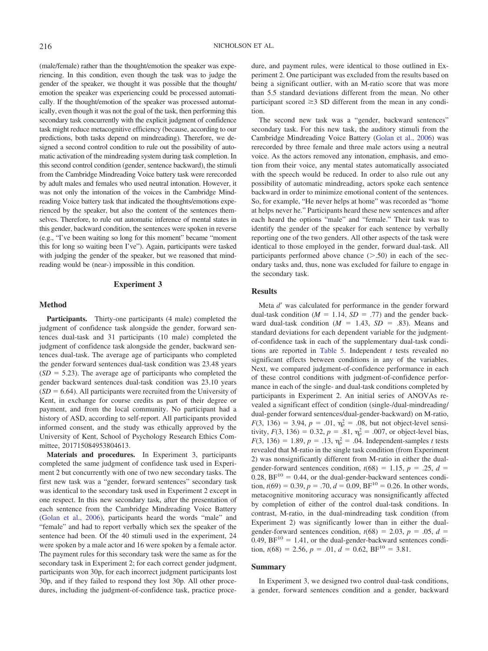(male/female) rather than the thought/emotion the speaker was experiencing. In this condition, even though the task was to judge the gender of the speaker, we thought it was possible that the thought/ emotion the speaker was experiencing could be processed automatically. If the thought/emotion of the speaker was processed automatically, even though it was not the goal of the task, then performing this secondary task concurrently with the explicit judgment of confidence task might reduce metacognitive efficiency (because, according to our predictions, both tasks depend on mindreading). Therefore, we designed a second control condition to rule out the possibility of automatic activation of the mindreading system during task completion. In this second control condition (gender, sentence backward), the stimuli from the Cambridge Mindreading Voice battery task were rerecorded by adult males and females who used neutral intonation. However, it was not only the intonation of the voices in the Cambridge Mindreading Voice battery task that indicated the thoughts/emotions experienced by the speaker, but also the content of the sentences themselves. Therefore, to rule out automatic inference of mental states in this gender, backward condition, the sentences were spoken in reverse (e.g., "I've been waiting so long for this moment" became "moment this for long so waiting been I've"). Again, participants were tasked with judging the gender of the speaker, but we reasoned that mindreading would be (near-) impossible in this condition.

#### **Experiment 3**

#### **Method**

Participants. Thirty-one participants (4 male) completed the judgment of confidence task alongside the gender, forward sentences dual-task and 31 participants (10 male) completed the judgment of confidence task alongside the gender, backward sentences dual-task. The average age of participants who completed the gender forward sentences dual-task condition was 23.48 years  $(SD = 5.23)$ . The average age of participants who completed the gender backward sentences dual-task condition was 23.10 years  $(SD = 6.64)$ . All participants were recruited from the University of Kent, in exchange for course credits as part of their degree or payment, and from the local community. No participant had a history of ASD, according to self-report. All participants provided informed consent, and the study was ethically approved by the University of Kent, School of Psychology Research Ethics Committee, 201715084953804613.

**Materials and procedures.** In Experiment 3, participants completed the same judgment of confidence task used in Experiment 2 but concurrently with one of two new secondary tasks. The first new task was a "gender, forward sentences" secondary task was identical to the secondary task used in Experiment 2 except in one respect. In this new secondary task, after the presentation of each sentence from the Cambridge Mindreading Voice Battery (Golan et al., 2006), participants heard the words "male" and "female" and had to report verbally which sex the speaker of the sentence had been. Of the 40 stimuli used in the experiment, 24 were spoken by a male actor and 16 were spoken by a female actor. The payment rules for this secondary task were the same as for the secondary task in Experiment 2; for each correct gender judgment, participants won 30p, for each incorrect judgment participants lost 30p, and if they failed to respond they lost 30p. All other procedures, including the judgment-of-confidence task, practice procedure, and payment rules, were identical to those outlined in Experiment 2. One participant was excluded from the results based on being a significant outlier, with an M-ratio score that was more than 5.5 standard deviations different from the mean. No other participant scored  $\geq$ 3 SD different from the mean in any condition.

The second new task was a "gender, backward sentences" secondary task. For this new task, the auditory stimuli from the Cambridge Mindreading Voice Battery (Golan et al., 2006) was rerecorded by three female and three male actors using a neutral voice. As the actors removed any intonation, emphasis, and emotion from their voice, any mental states automatically associated with the speech would be reduced. In order to also rule out any possibility of automatic mindreading, actors spoke each sentence backward in order to minimize emotional content of the sentences. So, for example, "He never helps at home" was recorded as "home at helps never he." Participants heard these new sentences and after each heard the options "male" and "female." Their task was to identify the gender of the speaker for each sentence by verbally reporting one of the two genders. All other aspects of the task were identical to those employed in the gender, forward dual-task. All participants performed above chance  $($ >.50) in each of the secondary tasks and, thus, none was excluded for failure to engage in the secondary task.

#### **Results**

Meta d' was calculated for performance in the gender forward dual-task condition ( $M = 1.14$ ,  $SD = .77$ ) and the gender backward dual-task condition  $(M = 1.43, SD = .83)$ . Means and standard deviations for each dependent variable for the judgmentof-confidence task in each of the supplementary dual-task conditions are reported in Table 5. Independent *t* tests revealed no significant effects between conditions in any of the variables. Next, we compared judgment-of-confidence performance in each of these control conditions with judgment-of-confidence performance in each of the single- and dual-task conditions completed by participants in Experiment 2. An initial series of ANOVAs revealed a significant effect of condition (single-/dual-mindreading/ dual-gender forward sentences/dual-gender-backward) on M-ratio,  $F(3, 136) = 3.94, p = .01, \eta_p^2 = .08$ , but not object-level sensitivity,  $F(3, 136) = 0.32$ ,  $p = .81$ ,  $\eta_p^2 = .007$ , or object-level bias,  $F(3, 136) = 1.89, p = .13, \eta_p^2 = .04.$  Independent-samples *t* tests revealed that M-ratio in the single task condition (from Experiment 2) was nonsignificantly different from M-ratio in either the dualgender-forward sentences condition,  $t(68) = 1.15$ ,  $p = .25$ ,  $d =$ 0.28,  $BF^{10} = 0.44$ , or the dual-gender-backward sentences condition,  $t(69) = 0.39$ ,  $p = .70$ ,  $d = 0.09$ ,  $BF^{10} = 0.26$ . In other words, metacognitive monitoring accuracy was nonsignificantly affected by completion of either of the control dual-task conditions. In contrast, M-ratio, in the dual-mindreading task condition (from Experiment 2) was significantly lower than in either the dualgender-forward sentences condition,  $t(68) = 2.03$ ,  $p = .05$ ,  $d =$ 0.49,  $BF^{10} = 1.41$ , or the dual-gender-backward sentences condition,  $t(68) = 2.56$ ,  $p = .01$ ,  $d = 0.62$ ,  $BF^{10} = 3.81$ .

#### **Summary**

In Experiment 3, we designed two control dual-task conditions, a gender, forward sentences condition and a gender, backward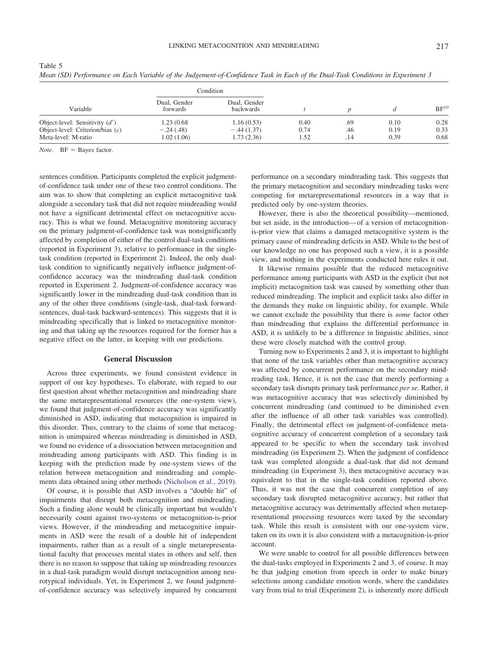| Variable                           |                          | Condition                 |      |     |      |           |  |
|------------------------------------|--------------------------|---------------------------|------|-----|------|-----------|--|
|                                    | Dual, Gender<br>forwards | Dual, Gender<br>backwards |      |     |      | $BF^{10}$ |  |
| Object-level: Sensitivity $(d')$   | 1.23 (0.68)              | 1.16(0.53)                | 0.40 | .69 | 0.10 | 0.28      |  |
| Object-level: Criterion/bias $(c)$ | $-.24(.48)$              | $-.44(1.37)$              | 0.74 | .46 | 0.19 | 0.33      |  |
| Meta-level: M-ratio                | 1.02 (1.06)              | 1.73(2.36)                | 1.52 | .14 | 0.39 | 0.68      |  |

Table 5 *Mean (SD) Performance on Each Variable of the Judgement-of-Confidence Task in Each of the Dual-Task Conditions in Experiment 3*

*Note*. BF = Bayes factor.

sentences condition. Participants completed the explicit judgmentof-confidence task under one of these two control conditions. The aim was to show that completing an explicit metacognitive task alongside a secondary task that did not require mindreading would not have a significant detrimental effect on metacognitive accuracy. This is what we found. Metacognitive monitoring accuracy on the primary judgment-of-confidence task was nonsignificantly affected by completion of either of the control dual-task conditions (reported in Experiment 3), relative to performance in the singletask condition (reported in Experiment 2). Indeed, the only dualtask condition to significantly negatively influence judgment-ofconfidence accuracy was the mindreading dual-task condition reported in Experiment 2. Judgment-of-confidence accuracy was significantly lower in the mindreading dual-task condition than in any of the other three conditions (single-task, dual-task forwardsentences, dual-task backward-sentences). This suggests that it is mindreading specifically that is linked to metacognitive monitoring and that taking up the resources required for the former has a negative effect on the latter, in keeping with our predictions.

#### **General Discussion**

Across three experiments, we found consistent evidence in support of our key hypotheses. To elaborate, with regard to our first question about whether metacognition and mindreading share the same metarepresentational resources (the one-system view), we found that judgment-of-confidence accuracy was significantly diminished in ASD, indicating that metacognition is impaired in this disorder. Thus, contrary to the claims of some that metacognition is unimpaired whereas mindreading is diminished in ASD, we found no evidence of a dissociation between metacognition and mindreading among participants with ASD. This finding is in keeping with the prediction made by one-system views of the relation between metacognition and mindreading and complements data obtained using other methods (Nicholson et al., 2019).

Of course, it is possible that ASD involves a "double hit" of impairments that disrupt both metacognition and mindreading. Such a finding alone would be clinically important but wouldn't necessarily count against two-systems or metacognition-is-prior views. However, if the mindreading and metacognitive impairments in ASD were the result of a double hit of independent impairments, rather than as a result of a single metarepresentational faculty that processes mental states in others and self, then there is no reason to suppose that taking up mindreading resources in a dual-task paradigm would disrupt metacognition among neurotypical individuals. Yet, in Experiment 2, we found judgmentof-confidence accuracy was selectively impaired by concurrent

performance on a secondary mindreading task. This suggests that the primary metacognition and secondary mindreading tasks were competing for metarepresentational resources in a way that is predicted only by one-system theories.

However, there is also the theoretical possibility—mentioned, but set aside, in the introduction— of a version of metacognitionis-prior view that claims a damaged metacognitive system is the primary cause of mindreading deficits in ASD. While to the best of our knowledge no one has proposed such a view, it is a possible view, and nothing in the experiments conducted here rules it out.

It likewise remains possible that the reduced metacognitive performance among participants with ASD in the explicit (but not implicit) metacognition task was caused by something other than reduced mindreading. The implicit and explicit tasks also differ in the demands they make on linguistic ability, for example. While we cannot exclude the possibility that there is *some* factor other than mindreading that explains the differential performance in ASD, it is unlikely to be a difference in linguistic abilities, since these were closely matched with the control group.

Turning now to Experiments 2 and 3, it is important to highlight that none of the task variables other than metacognitive accuracy was affected by concurrent performance on the secondary mindreading task. Hence, it is not the case that merely performing a secondary task disrupts primary task performance *per se.* Rather, it was metacognitive accuracy that was selectively diminished by concurrent mindreading (and continued to be diminished even after the influence of all other task variables was controlled). Finally, the detrimental effect on judgment-of-confidence metacognitive accuracy of concurrent completion of a secondary task appeared to be specific to when the secondary task involved mindreading (in Experiment 2). When the judgment of confidence task was completed alongside a dual-task that did not demand mindreading (in Experiment 3), then metacognitive accuracy was equivalent to that in the single-task condition reported above. Thus, it was not the case that concurrent completion of any secondary task disrupted metacognitive accuracy, but rather that metacognitive accuracy was detrimentally affected when metarepresentational processing resources were taxed by the secondary task. While this result is consistent with our one-system view, taken on its own it is also consistent with a metacognition-is-prior account.

We were unable to control for all possible differences between the dual-tasks employed in Experiments 2 and 3, of course. It may be that judging emotion from speech in order to make binary selections among candidate emotion words, where the candidates vary from trial to trial (Experiment 2), is inherently more difficult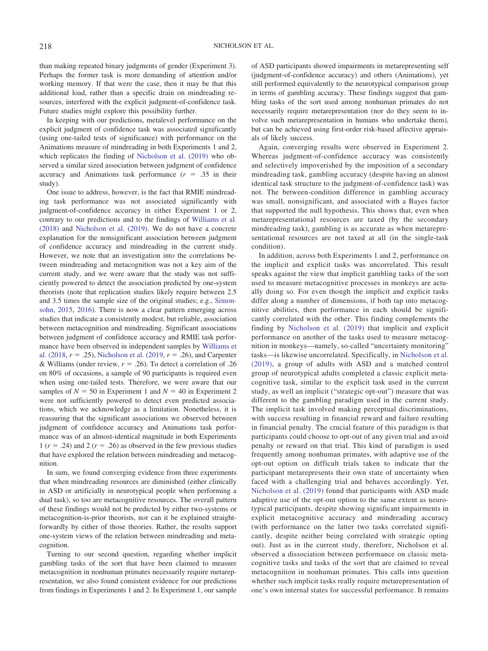than making repeated binary judgments of gender (Experiment 3). Perhaps the former task is more demanding of attention and/or working memory. If that were the case, then it may be that this additional load, rather than a specific drain on mindreading resources, interfered with the explicit judgment-of-confidence task. Future studies might explore this possibility further.

In keeping with our predictions, metalevel performance on the explicit judgment of confidence task was associated significantly (using one-tailed tests of significance) with performance on the Animations measure of mindreading in both Experiments 1 and 2, which replicates the finding of Nicholson et al. (2019) who observed a similar sized association between judgment of confidence accuracy and Animations task performance  $(r = .35$  in their study).

One issue to address, however, is the fact that RMIE mindreading task performance was not associated significantly with judgment-of-confidence accuracy in either Experiment 1 or 2, contrary to our predictions and to the findings of Williams et al. (2018) and Nicholson et al. (2019). We do not have a concrete explanation for the nonsignificant association between judgment of confidence accuracy and mindreading in the current study. However, we note that an investigation into the correlations between mindreading and metacognition was not a key aim of the current study, and we were aware that the study was not sufficiently powered to detect the association predicted by one-system theorists (note that replication studies likely require between 2.5 and 3.5 times the sample size of the original studies; e.g., Simonsohn, 2015, 2016). There is now a clear pattern emerging across studies that indicate a consistently modest, but reliable, association between metacognition and mindreading. Significant associations between judgment of confidence accuracy and RMIE task performance have been observed in independent samples by Williams et al. (2018,  $r = .25$ ), Nicholson et al. (2019,  $r = .26$ ), and Carpenter & Williams (under review,  $r = .26$ ). To detect a correlation of .26 on 80% of occasions, a sample of 90 participants is required even when using one-tailed tests. Therefore, we were aware that our samples of  $N = 50$  in Experiment 1 and  $N = 40$  in Experiment 2 were not sufficiently powered to detect even predicted associations, which we acknowledge as a limitation. Nonetheless, it is reassuring that the significant associations we observed between judgment of confidence accuracy and Animations task performance was of an almost-identical magnitude in both Experiments 1 ( $r = .24$ ) and 2 ( $r = .26$ ) as observed in the few previous studies that have explored the relation between mindreading and metacognition.

In sum, we found converging evidence from three experiments that when mindreading resources are diminished (either clinically in ASD or artificially in neurotypical people when performing a dual task), so too are metacognitive resources. The overall pattern of these findings would not be predicted by either two-systems or metacognition-is-prior theorists, nor can it be explained straightforwardly by either of those theories. Rather, the results support one-system views of the relation between mindreading and metacognition.

Turning to our second question, regarding whether implicit gambling tasks of the sort that have been claimed to measure metacognition in nonhuman primates necessarily require metarepresentation, we also found consistent evidence for our predictions from findings in Experiments 1 and 2. In Experiment 1, our sample of ASD participants showed impairments in metarepresenting self (judgment-of-confidence accuracy) and others (Animations), yet still performed equivalently to the neurotypical comparison group in terms of gambling accuracy. These findings suggest that gambling tasks of the sort used among nonhuman primates do not necessarily require metarepresentation (nor do they seem to involve such metarepresentation in humans who undertake them), but can be achieved using first-order risk-based affective appraisals of likely success.

Again, converging results were observed in Experiment 2. Whereas judgment-of-confidence accuracy was consistently and selectively impoverished by the imposition of a secondary mindreading task, gambling accuracy (despite having an almost identical task structure to the judgment-of-confidence task) was not. The between-condition difference in gambling accuracy was small, nonsignificant, and associated with a Bayes factor that supported the null hypothesis. This shows that, even when metarepresentational resources are taxed (by the secondary mindreading task), gambling is as accurate as when metarepresentational resources are not taxed at all (in the single-task condition).

In addition, across both Experiments 1 and 2, performance on the implicit and explicit tasks was uncorrelated. This result speaks against the view that implicit gambling tasks of the sort used to measure metacognitive processes in monkeys are actually doing so. For even though the implicit and explicit tasks differ along a number of dimensions, if both tap into metacognitive abilities, then performance in each should be significantly correlated with the other. This finding complements the finding by Nicholson et al. (2019) that implicit and explicit performance on another of the tasks used to measure metacognition in monkeys—namely, so-called "uncertainty monitoring" tasks—is likewise uncorrelated. Specifically, in Nicholson et al. (2019), a group of adults with ASD and a matched control group of neurotypical adults completed a classic explicit metacognitive task, similar to the explicit task used in the current study, as well an implicit ("strategic opt-out") measure that was different to the gambling paradigm used in the current study. The implicit task involved making perceptual discriminations, with success resulting in financial reward and failure resulting in financial penalty. The crucial feature of this paradigm is that participants could choose to opt-out of any given trial and avoid penalty or reward on that trial. This kind of paradigm is used frequently among nonhuman primates, with adaptive use of the opt-out option on difficult trials taken to indicate that the participant metarepresents their own state of uncertainty when faced with a challenging trial and behaves accordingly. Yet, Nicholson et al. (2019) found that participants with ASD made adaptive use of the opt-out option to the same extent as neurotypical participants, despite showing significant impairments in explicit metacognitive accuracy and mindreading accuracy (with performance on the latter two tasks correlated significantly, despite neither being correlated with strategic opting out). Just as in the current study, therefore, Nicholson et al. observed a dissociation between performance on classic metacognitive tasks and tasks of the sort that are claimed to reveal metacognition in nonhuman primates. This calls into question whether such implicit tasks really require metarepresentation of one's own internal states for successful performance. It remains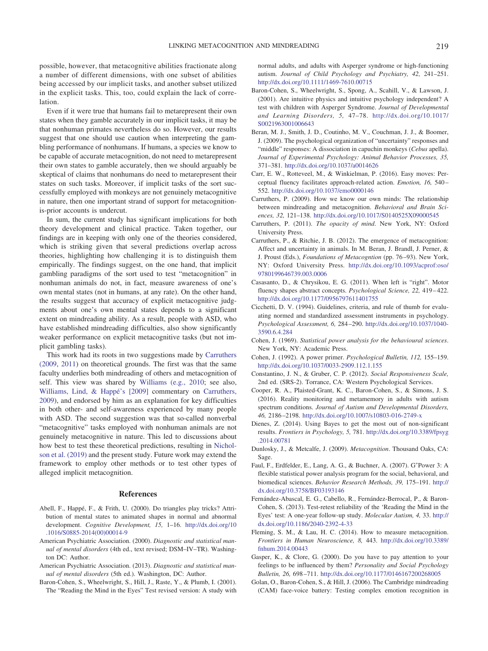possible, however, that metacognitive abilities fractionate along a number of different dimensions, with one subset of abilities being accessed by our implicit tasks, and another subset utilized in the explicit tasks. This, too, could explain the lack of correlation.

Even if it were true that humans fail to metarepresent their own states when they gamble accurately in our implicit tasks, it may be that nonhuman primates nevertheless do so. However, our results suggest that one should use caution when interpreting the gambling performance of nonhumans. If humans, a species we know to be capable of accurate metacognition, do not need to metarepresent their own states to gamble accurately, then we should arguably be skeptical of claims that nonhumans do need to metarepresent their states on such tasks. Moreover, if implicit tasks of the sort successfully employed with monkeys are not genuinely metacognitive in nature, then one important strand of support for metacognitionis-prior accounts is undercut.

In sum, the current study has significant implications for both theory development and clinical practice. Taken together, our findings are in keeping with only one of the theories considered, which is striking given that several predictions overlap across theories, highlighting how challenging it is to distinguish them empirically. The findings suggest, on the one hand, that implicit gambling paradigms of the sort used to test "metacognition" in nonhuman animals do not, in fact, measure awareness of one's own mental states (not in humans, at any rate). On the other hand, the results suggest that accuracy of explicit metacognitive judgments about one's own mental states depends to a significant extent on mindreading ability. As a result, people with ASD, who have established mindreading difficulties, also show significantly weaker performance on explicit metacognitive tasks (but not implicit gambling tasks).

This work had its roots in two suggestions made by Carruthers (2009, 2011) on theoretical grounds. The first was that the same faculty underlies both mindreading of others and metacognition of self. This view was shared by Williams (e.g., 2010; see also, Williams, Lind, & Happé's [2009] commentary on Carruthers, 2009), and endorsed by him as an explanation for key difficulties in both other- and self-awareness experienced by many people with ASD. The second suggestion was that so-called nonverbal "metacognitive" tasks employed with nonhuman animals are not genuinely metacognitive in nature. This led to discussions about how best to test these theoretical predictions, resulting in Nicholson et al. (2019) and the present study. Future work may extend the framework to employ other methods or to test other types of alleged implicit metacognition.

#### **References**

- Abell, F., Happé, F., & Frith, U. (2000). Do triangles play tricks? Attribution of mental states to animated shapes in normal and abnormal development. *Cognitive Development, 15,* 1–16. [http://dx.doi.org/10](http://dx.doi.org/10.1016/S0885-2014%2800%2900014-9) [.1016/S0885-2014\(00\)00014-9](http://dx.doi.org/10.1016/S0885-2014%2800%2900014-9)
- American Psychiatric Association. (2000). *Diagnostic and statistical manual of mental disorders* (4th ed., text revised; DSM–IV–TR). Washington DC: Author.
- American Psychiatric Association. (2013). *Diagnostic and statistical manual of mental disorders* (5th ed.). Washington, DC: Author.
- Baron-Cohen, S., Wheelwright, S., Hill, J., Raste, Y., & Plumb, I. (2001). The "Reading the Mind in the Eyes" Test revised version: A study with

normal adults, and adults with Asperger syndrome or high-functioning autism. *Journal of Child Psychology and Psychiatry, 42,* 241–251. <http://dx.doi.org/10.1111/1469-7610.00715>

- Baron-Cohen, S., Wheelwright, S., Spong, A., Scahill, V., & Lawson, J. (2001). Are intuitive physics and intuitive psychology independent? A test with children with Asperger Syndrome. *Journal of Developmental and Learning Disorders, 5,* 47–78. [http://dx.doi.org/10.1017/](http://dx.doi.org/10.1017/S0021963001006643) [S0021963001006643](http://dx.doi.org/10.1017/S0021963001006643)
- Beran, M. J., Smith, J. D., Coutinho, M. V., Couchman, J. J., & Boomer, J. (2009). The psychological organization of "uncertainty" responses and "middle" responses: A dissociation in capuchin monkeys (*Cebus* apella). *Journal of Experimental Psychology: Animal Behavior Processes, 35,* 371–381. <http://dx.doi.org/10.1037/a0014626>
- Carr, E. W., Rotteveel, M., & Winkielman, P. (2016). Easy moves: Perceptual fluency facilitates approach-related action. *Emotion, 16,* 540 – 552. <http://dx.doi.org/10.1037/emo0000146>
- Carruthers, P. (2009). How we know our own minds: The relationship between mindreading and metacognition. *Behavioral and Brain Sciences, 32,* 121–138. <http://dx.doi.org/10.1017/S0140525X09000545>
- Carruthers, P. (2011). *The opacity of mind*. New York, NY: Oxford University Press.
- Carruthers, P., & Ritchie, J. B. (2012). The emergence of metacognition: Affect and uncertainty in animals. In M. Beran, J. Brandl, J. Perner, & J. Proust (Eds.), *Foundations of Metacogntion* (pp. 76 –93). New York, NY: Oxford University Press. [http://dx.doi.org/10.1093/acprof:oso/](http://dx.doi.org/10.1093/acprof:oso/9780199646739.003.0006) [9780199646739.003.0006](http://dx.doi.org/10.1093/acprof:oso/9780199646739.003.0006)
- Casasanto, D., & Chrysikou, E. G. (2011). When left is "right". Motor fluency shapes abstract concepts. *Psychological Science*, 22, 419–422. <http://dx.doi.org/10.1177/0956797611401755>
- Cicchetti, D. V. (1994). Guidelines, criteria, and rule of thumb for evaluating normed and standardized assessment instruments in psychology. *Psychological Assessment, 6,* 284 –290. [http://dx.doi.org/10.1037/1040-](http://dx.doi.org/10.1037/1040-3590.6.4.284) [3590.6.4.284](http://dx.doi.org/10.1037/1040-3590.6.4.284)
- Cohen, J. (1969). *Statistical power analysis for the behavioural sciences*. New York, NY: Academic Press.
- Cohen, J. (1992). A power primer. *Psychological Bulletin, 112,* 155–159. <http://dx.doi.org/10.1037/0033-2909.112.1.155>
- Constantino, J. N., & Gruber, C. P. (2012). *Social Responsiveness Scale,* 2nd ed. (SRS-2). Torrance, CA: Western Psychological Services.
- Cooper, R. A., Plaisted-Grant, K. C., Baron-Cohen, S., & Simons, J. S. (2016). Reality monitoring and metamemory in adults with autism spectrum conditions. *Journal of Autism and Developmental Disorders, 46,* 2186 –2198. <http://dx.doi.org/10.1007/s10803-016-2749-x>
- Dienes, Z. (2014). Using Bayes to get the most out of non-significant results. *Frontiers in Psychology, 5,* 781. [http://dx.doi.org/10.3389/fpsyg](http://dx.doi.org/10.3389/fpsyg.2014.00781) [.2014.00781](http://dx.doi.org/10.3389/fpsyg.2014.00781)
- Dunlosky, J., & Metcalfe, J. (2009). *Metacognition*. Thousand Oaks, CA: Sage.
- Faul, F., Erdfelder, E., Lang, A. G., & Buchner, A. (2007). G\*Power 3: A flexible statistical power analysis program for the social, behavioral, and biomedical sciences. *Behavior Research Methods, 39,* 175–191. [http://](http://dx.doi.org/10.3758/BF03193146) [dx.doi.org/10.3758/BF03193146](http://dx.doi.org/10.3758/BF03193146)
- Fernández-Abascal, E. G., Cabello, R., Fernández-Berrocal, P., & Baron-Cohen, S. (2013). Test-retest reliability of the 'Reading the Mind in the Eyes' test: A one-year follow-up study. *Molecular Autism, 4,* 33. [http://](http://dx.doi.org/10.1186/2040-2392-4-33) [dx.doi.org/10.1186/2040-2392-4-33](http://dx.doi.org/10.1186/2040-2392-4-33)
- Fleming, S. M., & Lau, H. C. (2014). How to measure metacognition. *Frontiers in Human Neuroscience, 8,* 443. [http://dx.doi.org/10.3389/](http://dx.doi.org/10.3389/fnhum.2014.00443) [fnhum.2014.00443](http://dx.doi.org/10.3389/fnhum.2014.00443)
- Gasper, K., & Clore, G. (2000). Do you have to pay attention to your feelings to be influenced by them? *Personality and Social Psychology Bulletin, 26,* 698 –711. <http://dx.doi.org/10.1177/0146167200268005>
- Golan, O., Baron-Cohen, S., & Hill, J. (2006). The Cambridge mindreading (CAM) face-voice battery: Testing complex emotion recognition in